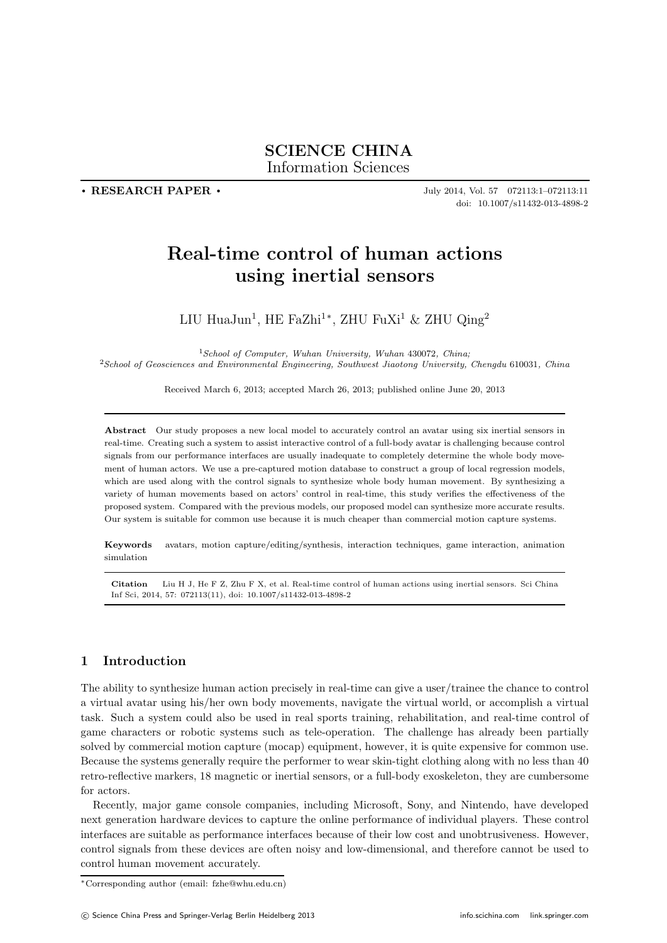**. RESEARCH PAPER .**

July 2014, Vol. 57 072113:1–072113:11 doi: 10.1007/s11432-013-4898-2

# **Real-time control of human actions using inertial sensors**

LIU HuaJun<sup>1</sup>, HE FaZhi<sup>1</sup><sup>\*</sup>, ZHU FuXi<sup>1</sup> & ZHU Qing<sup>2</sup>

<sup>1</sup>*School of Computer, Wuhan University, Wuhan* 430072*, China;* <sup>2</sup>*School of Geosciences and Environmental Engineering, Southwest Jiaotong University, Chengdu* 610031*, China*

Received March 6, 2013; accepted March 26, 2013; published online June 20, 2013

**Abstract** Our study proposes a new local model to accurately control an avatar using six inertial sensors in real-time. Creating such a system to assist interactive control of a full-body avatar is challenging because control signals from our performance interfaces are usually inadequate to completely determine the whole body movement of human actors. We use a pre-captured motion database to construct a group of local regression models, which are used along with the control signals to synthesize whole body human movement. By synthesizing a variety of human movements based on actors' control in real-time, this study verifies the effectiveness of the proposed system. Compared with the previous models, our proposed model can synthesize more accurate results. Our system is suitable for common use because it is much cheaper than commercial motion capture systems.

**Keywords** avatars, motion capture/editing/synthesis, interaction techniques, game interaction, animation simulation

**Citation** Liu H J, He F Z, Zhu F X, et al. Real-time control of human actions using inertial sensors. Sci China Inf Sci, 2014, 57: 072113(11), doi: 10.1007/s11432-013-4898-2

# **1 Introduction**

The ability to synthesize human action precisely in real-time can give a user/trainee the chance to control a virtual avatar using his/her own body movements, navigate the virtual world, or accomplish a virtual task. Such a system could also be used in real sports training, rehabilitation, and real-time control of game characters or robotic systems such as tele-operation. The challenge has already been partially solved by commercial motion capture (mocap) equipment, however, it is quite expensive for common use. Because the systems generally require the performer to wear skin-tight clothing along with no less than 40 retro-reflective markers, 18 magnetic or inertial sensors, or a full-body exoskeleton, they are cumbersome for actors.

Recently, major game console companies, including Microsoft, Sony, and Nintendo, have developed next generation hardware devices to capture the online performance of individual players. These control interfaces are suitable as performance interfaces because of their low cost and unobtrusiveness. However, control signals from these devices are often noisy and low-dimensional, and therefore cannot be used to control human movement accurately.

<sup>∗</sup>Corresponding author (email: fzhe@whu.edu.cn)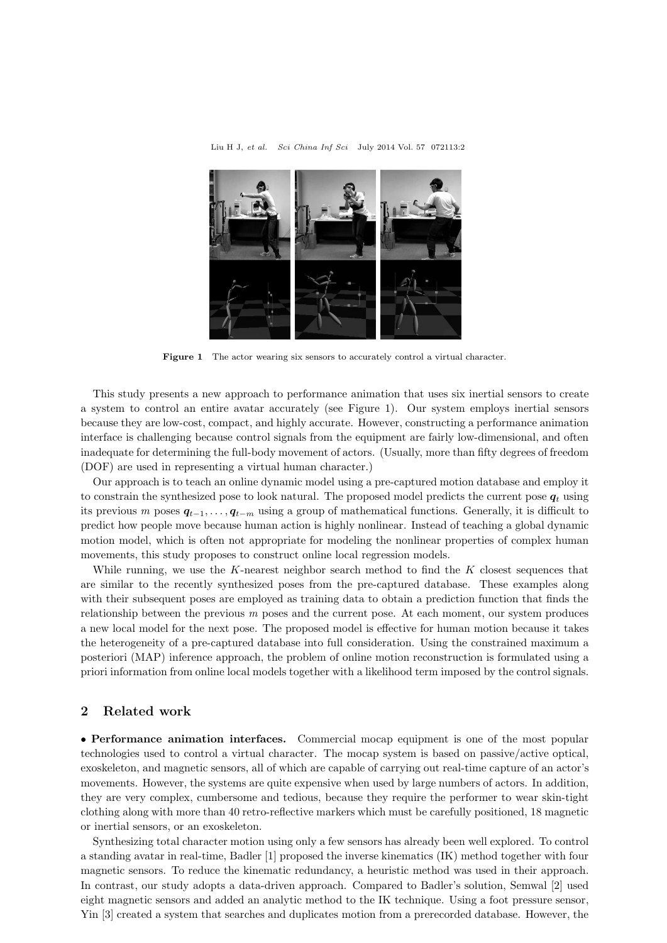



**Figure 1** The actor wearing six sensors to accurately control a virtual character.

This study presents a new approach to performance animation that uses six inertial sensors to create a system to control an entire avatar accurately (see Figure 1). Our system employs inertial sensors because they are low-cost, compact, and highly accurate. However, constructing a performance animation interface is challenging because control signals from the equipment are fairly low-dimensional, and often inadequate for determining the full-body movement of actors. (Usually, more than fifty degrees of freedom (DOF) are used in representing a virtual human character.)

Our approach is to teach an online dynamic model using a pre-captured motion database and employ it to constrain the synthesized pose to look natural. The proposed model predicts the current pose  $q_t$  using its previous *m* poses *q*<sup>t</sup>−1,..., *q*<sup>t</sup>−<sup>m</sup> using a group of mathematical functions. Generally, it is difficult to predict how people move because human action is highly nonlinear. Instead of teaching a global dynamic motion model, which is often not appropriate for modeling the nonlinear properties of complex human movements, this study proposes to construct online local regression models.

While running, we use the K-nearest neighbor search method to find the  $K$  closest sequences that are similar to the recently synthesized poses from the pre-captured database. These examples along with their subsequent poses are employed as training data to obtain a prediction function that finds the relationship between the previous *m* poses and the current pose. At each moment, our system produces a new local model for the next pose. The proposed model is effective for human motion because it takes the heterogeneity of a pre-captured database into full consideration. Using the constrained maximum a posteriori (MAP) inference approach, the problem of online motion reconstruction is formulated using a priori information from online local models together with a likelihood term imposed by the control signals.

## **2 Related work**

• **Performance animation interfaces.** Commercial mocap equipment is one of the most popular technologies used to control a virtual character. The mocap system is based on passive/active optical, exoskeleton, and magnetic sensors, all of which are capable of carrying out real-time capture of an actor's movements. However, the systems are quite expensive when used by large numbers of actors. In addition, they are very complex, cumbersome and tedious, because they require the performer to wear skin-tight clothing along with more than 40 retro-reflective markers which must be carefully positioned, 18 magnetic or inertial sensors, or an exoskeleton.

Synthesizing total character motion using only a few sensors has already been well explored. To control a standing avatar in real-time, Badler [1] proposed the inverse kinematics (IK) method together with four magnetic sensors. To reduce the kinematic redundancy, a heuristic method was used in their approach. In contrast, our study adopts a data-driven approach. Compared to Badler's solution, Semwal [2] used eight magnetic sensors and added an analytic method to the IK technique. Using a foot pressure sensor, Yin [3] created a system that searches and duplicates motion from a prerecorded database. However, the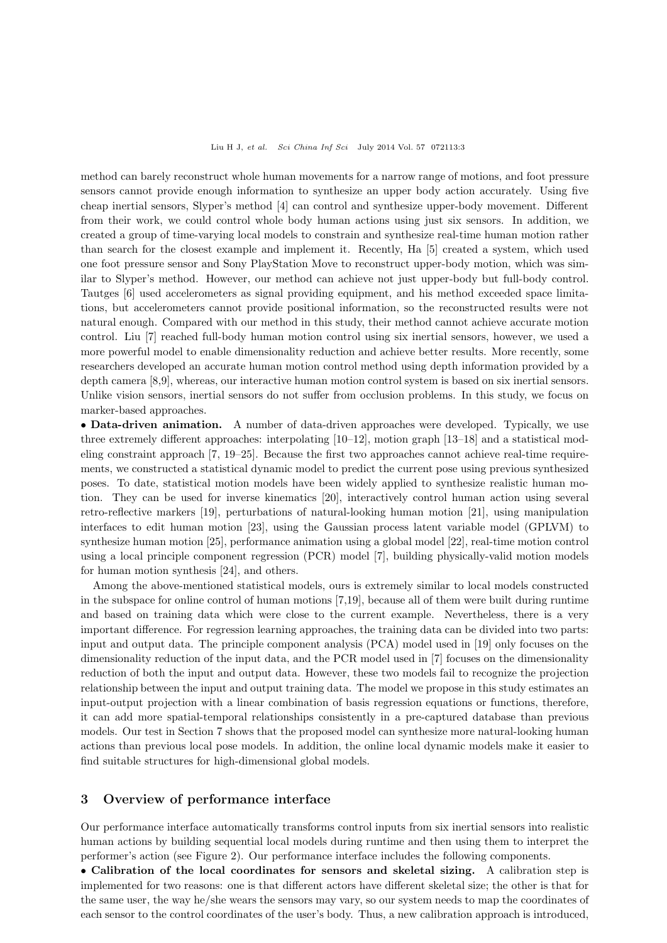method can barely reconstruct whole human movements for a narrow range of motions, and foot pressure sensors cannot provide enough information to synthesize an upper body action accurately. Using five cheap inertial sensors, Slyper's method [4] can control and synthesize upper-body movement. Different from their work, we could control whole body human actions using just six sensors. In addition, we created a group of time-varying local models to constrain and synthesize real-time human motion rather than search for the closest example and implement it. Recently, Ha [5] created a system, which used one foot pressure sensor and Sony PlayStation Move to reconstruct upper-body motion, which was similar to Slyper's method. However, our method can achieve not just upper-body but full-body control. Tautges [6] used accelerometers as signal providing equipment, and his method exceeded space limitations, but accelerometers cannot provide positional information, so the reconstructed results were not natural enough. Compared with our method in this study, their method cannot achieve accurate motion control. Liu [7] reached full-body human motion control using six inertial sensors, however, we used a more powerful model to enable dimensionality reduction and achieve better results. More recently, some researchers developed an accurate human motion control method using depth information provided by a depth camera [8,9], whereas, our interactive human motion control system is based on six inertial sensors. Unlike vision sensors, inertial sensors do not suffer from occlusion problems. In this study, we focus on marker-based approaches.

• **Data-driven animation.** A number of data-driven approaches were developed. Typically, we use three extremely different approaches: interpolating [10–12], motion graph [13–18] and a statistical modeling constraint approach [7, 19–25]. Because the first two approaches cannot achieve real-time requirements, we constructed a statistical dynamic model to predict the current pose using previous synthesized poses. To date, statistical motion models have been widely applied to synthesize realistic human motion. They can be used for inverse kinematics [20], interactively control human action using several retro-reflective markers [19], perturbations of natural-looking human motion [21], using manipulation interfaces to edit human motion [23], using the Gaussian process latent variable model (GPLVM) to synthesize human motion [25], performance animation using a global model [22], real-time motion control using a local principle component regression (PCR) model [7], building physically-valid motion models for human motion synthesis [24], and others.

Among the above-mentioned statistical models, ours is extremely similar to local models constructed in the subspace for online control of human motions [7,19], because all of them were built during runtime and based on training data which were close to the current example. Nevertheless, there is a very important difference. For regression learning approaches, the training data can be divided into two parts: input and output data. The principle component analysis (PCA) model used in [19] only focuses on the dimensionality reduction of the input data, and the PCR model used in [7] focuses on the dimensionality reduction of both the input and output data. However, these two models fail to recognize the projection relationship between the input and output training data. The model we propose in this study estimates an input-output projection with a linear combination of basis regression equations or functions, therefore, it can add more spatial-temporal relationships consistently in a pre-captured database than previous models. Our test in Section 7 shows that the proposed model can synthesize more natural-looking human actions than previous local pose models. In addition, the online local dynamic models make it easier to find suitable structures for high-dimensional global models.

## **3 Overview of performance interface**

Our performance interface automatically transforms control inputs from six inertial sensors into realistic human actions by building sequential local models during runtime and then using them to interpret the performer's action (see Figure 2). Our performance interface includes the following components.

• **Calibration of the local coordinates for sensors and skeletal sizing.** A calibration step is implemented for two reasons: one is that different actors have different skeletal size; the other is that for the same user, the way he/she wears the sensors may vary, so our system needs to map the coordinates of each sensor to the control coordinates of the user's body. Thus, a new calibration approach is introduced,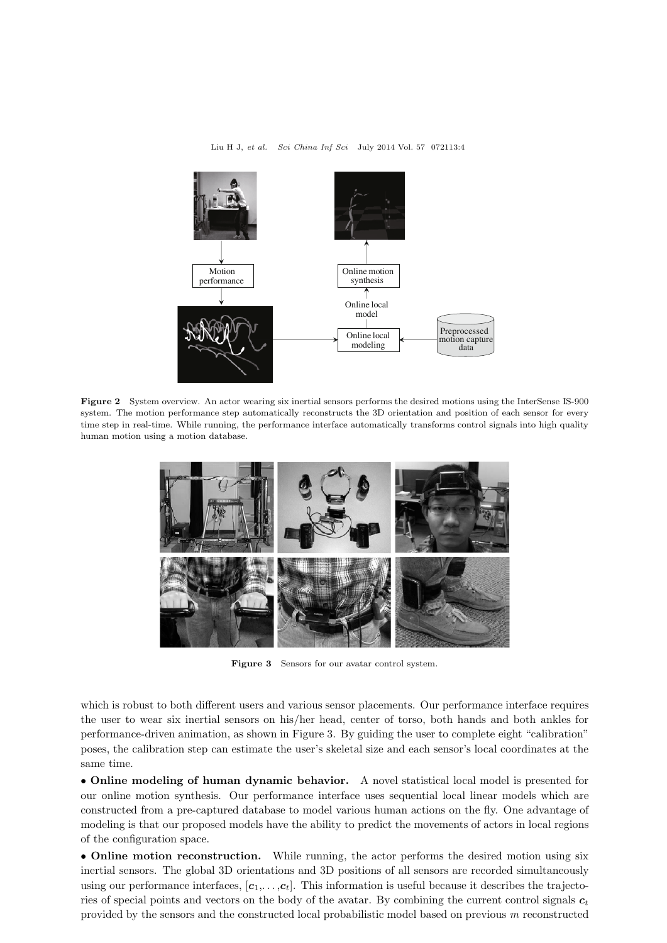

**Figure 2** System overview. An actor wearing six inertial sensors performs the desired motions using the InterSense IS-900 system. The motion performance step automatically reconstructs the 3D orientation and position of each sensor for every time step in real-time. While running, the performance interface automatically transforms control signals into high quality human motion using a motion database.



**Figure 3** Sensors for our avatar control system.

which is robust to both different users and various sensor placements. Our performance interface requires the user to wear six inertial sensors on his/her head, center of torso, both hands and both ankles for performance-driven animation, as shown in Figure 3. By guiding the user to complete eight "calibration" poses, the calibration step can estimate the user's skeletal size and each sensor's local coordinates at the same time.

• **Online modeling of human dynamic behavior.** A novel statistical local model is presented for our online motion synthesis. Our performance interface uses sequential local linear models which are constructed from a pre-captured database to model various human actions on the fly. One advantage of modeling is that our proposed models have the ability to predict the movements of actors in local regions of the configuration space.

• **Online motion reconstruction.** While running, the actor performs the desired motion using six inertial sensors. The global 3D orientations and 3D positions of all sensors are recorded simultaneously using our performance interfaces,  $[c_1, \ldots, c_t]$ . This information is useful because it describes the trajectories of special points and vectors on the body of the avatar. By combining the current control signals  $c_t$ provided by the sensors and the constructed local probabilistic model based on previous *m* reconstructed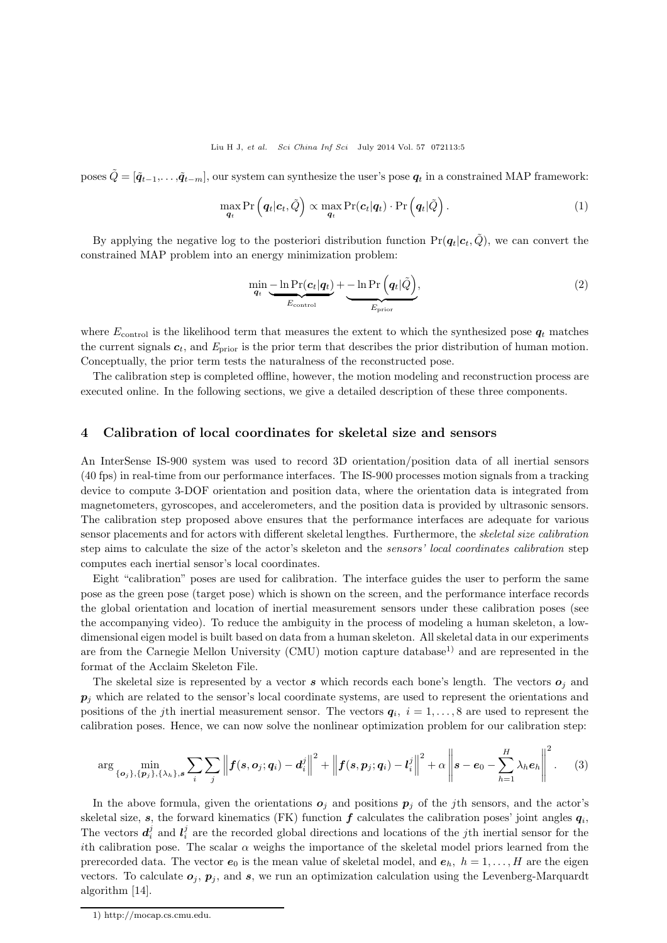poses  $\tilde{Q} = [\tilde{q}_{t-1}, \ldots, \tilde{q}_{t-m}]$ , our system can synthesize the user's pose  $q_t$  in a constrained MAP framework:

$$
\max_{\boldsymbol{q}_t} \Pr\left(\boldsymbol{q}_t|\boldsymbol{c}_t,\tilde{Q}\right) \propto \max_{\boldsymbol{q}_t} \Pr(\boldsymbol{c}_t|\boldsymbol{q}_t) \cdot \Pr\left(\boldsymbol{q}_t|\tilde{Q}\right). \tag{1}
$$

By applying the negative log to the posteriori distribution function  $Pr(q_t|c_t, \tilde{Q})$ , we can convert the constrained MAP problem into an energy minimization problem:

$$
\min_{\boldsymbol{q}_t} \underbrace{-\ln \Pr(\boldsymbol{c}_t | \boldsymbol{q}_t)}_{E_{\text{control}}} + \underbrace{-\ln \Pr(\boldsymbol{q}_t | \tilde{Q})}_{E_{\text{prior}}},
$$
\n(2)

where  $E_{\text{control}}$  is the likelihood term that measures the extent to which the synthesized pose  $q_t$  matches the current signals  $c_t$ , and  $E_{prior}$  is the prior term that describes the prior distribution of human motion. Conceptually, the prior term tests the naturalness of the reconstructed pose.

The calibration step is completed offline, however, the motion modeling and reconstruction process are executed online. In the following sections, we give a detailed description of these three components.

### **4 Calibration of local coordinates for skeletal size and sensors**

An InterSense IS-900 system was used to record 3D orientation/position data of all inertial sensors (40 fps) in real-time from our performance interfaces. The IS-900 processes motion signals from a tracking device to compute 3-DOF orientation and position data, where the orientation data is integrated from magnetometers, gyroscopes, and accelerometers, and the position data is provided by ultrasonic sensors. The calibration step proposed above ensures that the performance interfaces are adequate for various sensor placements and for actors with different skeletal lengthes. Furthermore, the *skeletal size calibration* step aims to calculate the size of the actor's skeleton and the *sensors' local coordinates calibration* step computes each inertial sensor's local coordinates.

Eight "calibration" poses are used for calibration. The interface guides the user to perform the same pose as the green pose (target pose) which is shown on the screen, and the performance interface records the global orientation and location of inertial measurement sensors under these calibration poses (see the accompanying video). To reduce the ambiguity in the process of modeling a human skeleton, a lowdimensional eigen model is built based on data from a human skeleton. All skeletal data in our experiments are from the Carnegie Mellon University (CMU) motion capture database<sup>1)</sup> and are represented in the format of the Acclaim Skeleton File.

The skeletal size is represented by a vector  $s$  which records each bone's length. The vectors  $o_j$  and  $p_i$  which are related to the sensor's local coordinate systems, are used to represent the orientations and positions of the *j*th inertial measurement sensor. The vectors  $q_i$ ,  $i = 1, \ldots, 8$  are used to represent the calibration poses. Hence, we can now solve the nonlinear optimization problem for our calibration step:

$$
\arg\min_{\{\boldsymbol{o}_j\},\{\boldsymbol{p}_j\},\{\lambda_h\},\boldsymbol{s}}\sum_i\sum_j\left\|\boldsymbol{f}(\boldsymbol{s},\boldsymbol{o}_j;\boldsymbol{q}_i)-\boldsymbol{d}_i^j\right\|^2+\left\|\boldsymbol{f}(\boldsymbol{s},\boldsymbol{p}_j;\boldsymbol{q}_i)-\boldsymbol{l}_i^j\right\|^2+\alpha\left\|\boldsymbol{s}-\boldsymbol{e}_0-\sum_{h=1}^H\lambda_h\boldsymbol{e}_h\right\|^2.\tag{3}
$$

In the above formula, given the orientations  $o_j$  and positions  $p_j$  of the *j*th sensors, and the actor's skeletal size,  $s$ , the forward kinematics (FK) function  $f$  calculates the calibration poses' joint angles  $q_i$ , The vectors  $d_i^j$  and  $l_i^j$  are the recorded global directions and locations of the *j*th inertial sensor for the ith calibration pose. The scalar  $\alpha$  weighs the importance of the skeletal model priors learned from the prerecorded data. The vector  $e_0$  is the mean value of skeletal model, and  $e_h$ ,  $h = 1, \ldots, H$  are the eigen vectors. To calculate  $o_j$ ,  $p_j$ , and  $s$ , we run an optimization calculation using the Levenberg-Marquardt algorithm [14].

<sup>1)</sup> http://mocap.cs.cmu.edu.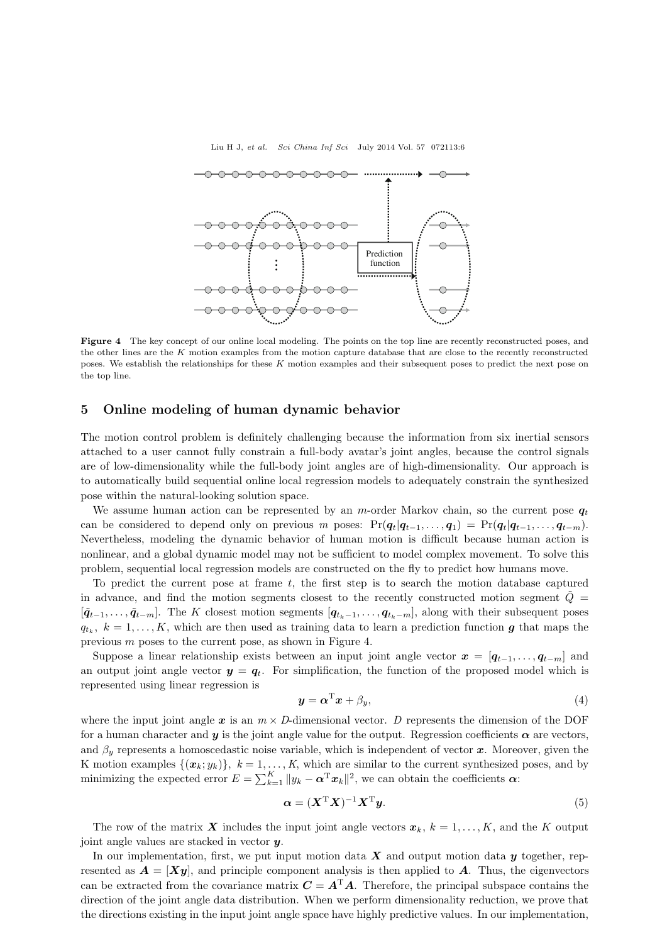Liu H J, *et al. Sci China Inf Sci* July 2014 Vol. 57 072113:6



**Figure 4** The key concept of our online local modeling. The points on the top line are recently reconstructed poses, and the other lines are the *K* motion examples from the motion capture database that are close to the recently reconstructed poses. We establish the relationships for these *K* motion examples and their subsequent poses to predict the next pose on the top line.

## **5 Online modeling of human dynamic behavior**

The motion control problem is definitely challenging because the information from six inertial sensors attached to a user cannot fully constrain a full-body avatar's joint angles, because the control signals are of low-dimensionality while the full-body joint angles are of high-dimensionality. Our approach is to automatically build sequential online local regression models to adequately constrain the synthesized pose within the natural-looking solution space.

We assume human action can be represented by an m-order Markov chain, so the current pose  $q_t$ can be considered to depend only on previous *m* poses:  $Pr(q_t|q_{t-1},...,q_1) = Pr(q_t|q_{t-1},...,q_{t-m})$ . Nevertheless, modeling the dynamic behavior of human motion is difficult because human action is nonlinear, and a global dynamic model may not be sufficient to model complex movement. To solve this problem, sequential local regression models are constructed on the fly to predict how humans move.

To predict the current pose at frame  $t$ , the first step is to search the motion database captured in advance, and find the motion segments closest to the recently constructed motion segment  $\hat{Q}$  =  $[\tilde{q}_{t-1},\ldots,\tilde{q}_{t-m}]$ . The K closest motion segments  $[q_{t_k-1},\ldots,q_{t_k-m}]$ , along with their subsequent poses  $q_{t_k}$ ,  $k = 1, \ldots, K$ , which are then used as training data to learn a prediction function *g* that maps the previous m poses to the current pose, as shown in Figure 4.

Suppose a linear relationship exists between an input joint angle vector  $x = [q_{t-1},...,q_{t-m}]$  and an output joint angle vector  $y = q_t$ . For simplification, the function of the proposed model which is represented using linear regression is

$$
\mathbf{y} = \boldsymbol{\alpha}^{\mathrm{T}} \mathbf{x} + \beta_y,\tag{4}
$$

where the input joint angle  $x$  is an  $m \times D$ -dimensional vector. *D* represents the dimension of the DOF for a human character and  $y$  is the joint angle value for the output. Regression coefficients  $\alpha$  are vectors, and  $\beta_u$  represents a homoscedastic noise variable, which is independent of vector  $\boldsymbol{x}$ . Moreover, given the K motion examples  $\{(\boldsymbol{x}_k; y_k)\}, k = 1, \ldots, K$ , which are similar to the current synthesized poses, and by minimizing the expected error  $E = \sum_{k=1}^{K} ||y_k - \alpha^{\mathrm{T}} x_k||^2$ , we can obtain the coefficients  $\alpha$ :

$$
\alpha = (X^{\mathrm{T}} X)^{-1} X^{\mathrm{T}} y. \tag{5}
$$

The row of the matrix **X** includes the input joint angle vectors  $x_k$ ,  $k = 1, \ldots, K$ , and the K output joint angle values are stacked in vector *y*.

In our implementation, first, we put input motion data  $\boldsymbol{X}$  and output motion data  $\boldsymbol{y}$  together, represented as  $A = [Xy]$ , and principle component analysis is then applied to *A*. Thus, the eigenvectors can be extracted from the covariance matrix  $C = A<sup>T</sup>A$ . Therefore, the principal subspace contains the direction of the joint angle data distribution. When we perform dimensionality reduction, we prove that the directions existing in the input joint angle space have highly predictive values. In our implementation,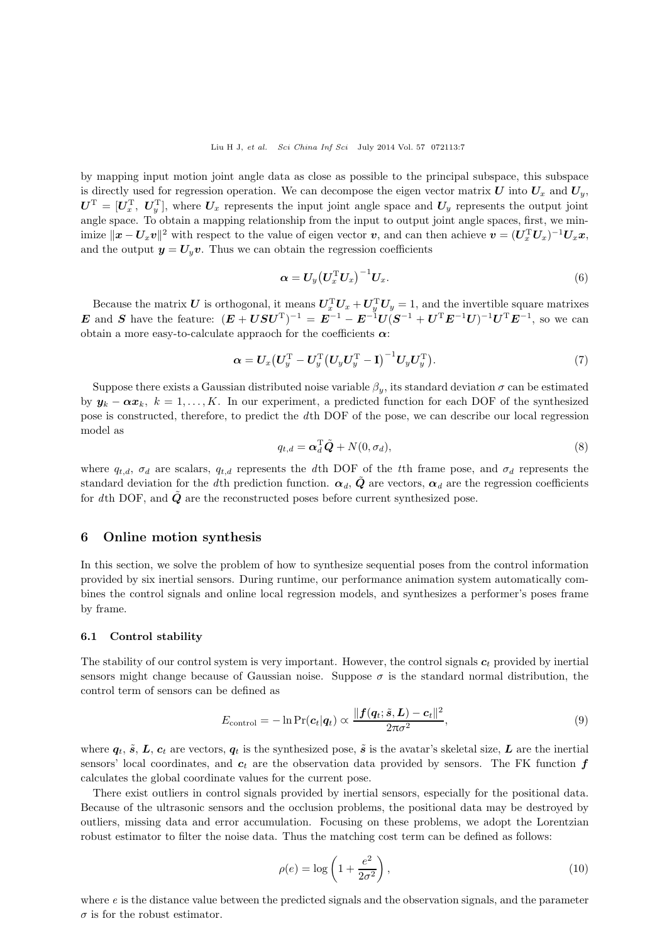by mapping input motion joint angle data as close as possible to the principal subspace, this subspace is directly used for regression operation. We can decompose the eigen vector matrix  $U$  into  $U_x$  and  $U_y$ ,  $U^{\rm T} = [U_x^{\rm T}, U_y^{\rm T}]$ , where  $U_x$  represents the input joint angle space and  $U_y$  represents the output joint angle space. To obtain a mapping relationship from the input to output joint angle spaces, first, we min*imize*  $\|\boldsymbol{x} - \boldsymbol{U}_x \boldsymbol{v}\|^2$  with respect to the value of eigen vector *v*, and can then achieve  $\boldsymbol{v} = (\boldsymbol{U}_x^T \boldsymbol{U}_x)^{-1} \boldsymbol{U}_x \boldsymbol{x}$ , and the output  $y = U_y v$ . Thus we can obtain the regression coefficients

$$
\boldsymbol{\alpha} = \boldsymbol{U}_{y} \left(\boldsymbol{U}_{x}^{\mathrm{T}} \boldsymbol{U}_{x}\right)^{-1} \boldsymbol{U}_{x}.\tag{6}
$$

Because the matrix *U* is orthogonal, it means  $U_x^T U_x + U_y^T U_y = 1$ , and the invertible square matrixes *E* and *S* have the feature:  $(E + USU<sup>T</sup>)<sup>-1</sup> = E<sup>-1</sup> - E<sup>-1</sup>U(S<sup>-1</sup> + U<sup>T</sup>E<sup>-1</sup>U)<sup>-1</sup>U<sup>T</sup>E<sup>-1</sup>$ , so we can obtain a more easy-to-calculate appraoch for the coefficients *α*:

$$
\boldsymbol{\alpha} = \boldsymbol{U}_x \big( \boldsymbol{U}_y^{\mathrm{T}} - \boldsymbol{U}_y^{\mathrm{T}} \big( \boldsymbol{U}_y \boldsymbol{U}_y^{\mathrm{T}} - \mathbf{I} \big)^{-1} \boldsymbol{U}_y \boldsymbol{U}_y^{\mathrm{T}} \big). \tag{7}
$$

Suppose there exists a Gaussian distributed noise variable  $\beta_y$ , its standard deviation  $\sigma$  can be estimated by  $y_k - \alpha x_k$ ,  $k = 1, \ldots, K$ . In our experiment, a predicted function for each DOF of the synthesized pose is constructed, therefore, to predict the *d*th DOF of the pose, we can describe our local regression model as

$$
q_{t,d} = \alpha_d^{\mathrm{T}} \tilde{Q} + N(0, \sigma_d), \tag{8}
$$

where  $q_{t,d}$ ,  $\sigma_d$  are scalars,  $q_{t,d}$  represents the *d*th DOF of the *t*<sup>th</sup> frame pose, and  $\sigma_d$  represents the standard deviation for the *d*th prediction function.  $\alpha_d$ ,  $\tilde{Q}$  are vectors,  $\alpha_d$  are the regression coefficients for dth DOF, and  $\tilde{Q}$  are the reconstructed poses before current synthesized pose.

## **6 Online motion synthesis**

In this section, we solve the problem of how to synthesize sequential poses from the control information provided by six inertial sensors. During runtime, our performance animation system automatically combines the control signals and online local regression models, and synthesizes a performer's poses frame by frame.

#### **6.1 Control stability**

The stability of our control system is very important. However, the control signals  $c_t$  provided by inertial sensors might change because of Gaussian noise. Suppose  $\sigma$  is the standard normal distribution, the control term of sensors can be defined as

$$
E_{\text{control}} = -\ln \Pr(c_t|\boldsymbol{q}_t) \propto \frac{\|\boldsymbol{f}(\boldsymbol{q}_t;\tilde{\boldsymbol{s}},\boldsymbol{L}) - \boldsymbol{c}_t\|^2}{2\pi\sigma^2},\tag{9}
$$

where  $q_t$ ,  $\tilde{s}$ ,  $L$ ,  $c_t$  are vectors,  $q_t$  is the synthesized pose,  $\tilde{s}$  is the avatar's skeletal size,  $L$  are the inertial sensors' local coordinates, and  $c_t$  are the observation data provided by sensors. The FK function  $f$ calculates the global coordinate values for the current pose.

There exist outliers in control signals provided by inertial sensors, especially for the positional data. Because of the ultrasonic sensors and the occlusion problems, the positional data may be destroyed by outliers, missing data and error accumulation. Focusing on these problems, we adopt the Lorentzian robust estimator to filter the noise data. Thus the matching cost term can be defined as follows:

$$
\rho(e) = \log\left(1 + \frac{e^2}{2\sigma^2}\right),\tag{10}
$$

where *e* is the distance value between the predicted signals and the observation signals, and the parameter  $\sigma$  is for the robust estimator.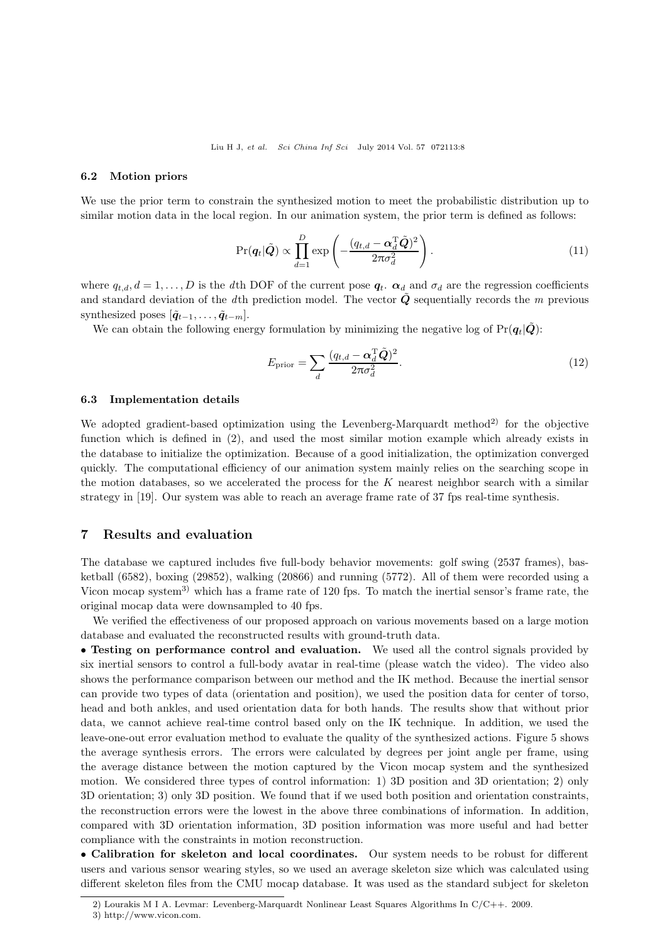#### **6.2 Motion priors**

We use the prior term to constrain the synthesized motion to meet the probabilistic distribution up to similar motion data in the local region. In our animation system, the prior term is defined as follows:

$$
\Pr(\boldsymbol{q}_t|\tilde{\boldsymbol{Q}}) \propto \prod_{d=1}^{D} \exp\left(-\frac{(q_{t,d} - \boldsymbol{\alpha}_d^{\mathrm{T}} \tilde{\boldsymbol{Q}})^2}{2\pi \sigma_d^2}\right).
$$
\n(11)

where  $q_{t,d}, d = 1, \ldots, D$  is the *d*th DOF of the current pose  $q_t$ .  $\alpha_d$  and  $\sigma_d$  are the regression coefficients and standard deviation of the *d*th prediction model. The vector  $\tilde{Q}$  sequentially records the *m* previous synthesized poses  $[\tilde{q}_{t-1}, \ldots, \tilde{q}_{t-m}].$ 

We can obtain the following energy formulation by minimizing the negative log of  $Pr(q_t|\tilde{Q})$ :

$$
E_{\text{prior}} = \sum_{d} \frac{(q_{t,d} - \alpha_d^{\text{T}} \tilde{Q})^2}{2\pi\sigma_d^2}.
$$
\n(12)

#### **6.3 Implementation details**

We adopted gradient-based optimization using the Levenberg-Marquardt method<sup>2)</sup> for the objective function which is defined in (2), and used the most similar motion example which already exists in the database to initialize the optimization. Because of a good initialization, the optimization converged quickly. The computational efficiency of our animation system mainly relies on the searching scope in the motion databases, so we accelerated the process for the  $K$  nearest neighbor search with a similar strategy in [19]. Our system was able to reach an average frame rate of 37 fps real-time synthesis.

## **7 Results and evaluation**

The database we captured includes five full-body behavior movements: golf swing (2537 frames), basketball (6582), boxing (29852), walking (20866) and running (5772). All of them were recorded using a Vicon mocap system<sup>3)</sup> which has a frame rate of 120 fps. To match the inertial sensor's frame rate, the original mocap data were downsampled to 40 fps.

We verified the effectiveness of our proposed approach on various movements based on a large motion database and evaluated the reconstructed results with ground-truth data.

• **Testing on performance control and evaluation.** We used all the control signals provided by six inertial sensors to control a full-body avatar in real-time (please watch the video). The video also shows the performance comparison between our method and the IK method. Because the inertial sensor can provide two types of data (orientation and position), we used the position data for center of torso, head and both ankles, and used orientation data for both hands. The results show that without prior data, we cannot achieve real-time control based only on the IK technique. In addition, we used the leave-one-out error evaluation method to evaluate the quality of the synthesized actions. Figure 5 shows the average synthesis errors. The errors were calculated by degrees per joint angle per frame, using the average distance between the motion captured by the Vicon mocap system and the synthesized motion. We considered three types of control information: 1) 3D position and 3D orientation; 2) only 3D orientation; 3) only 3D position. We found that if we used both position and orientation constraints, the reconstruction errors were the lowest in the above three combinations of information. In addition, compared with 3D orientation information, 3D position information was more useful and had better compliance with the constraints in motion reconstruction.

• **Calibration for skeleton and local coordinates.** Our system needs to be robust for different users and various sensor wearing styles, so we used an average skeleton size which was calculated using different skeleton files from the CMU mocap database. It was used as the standard subject for skeleton

<sup>2)</sup> Lourakis M I A. Levmar: Levenberg-Marquardt Nonlinear Least Squares Algorithms In C/C++. 2009.

<sup>3)</sup> http://www.vicon.com.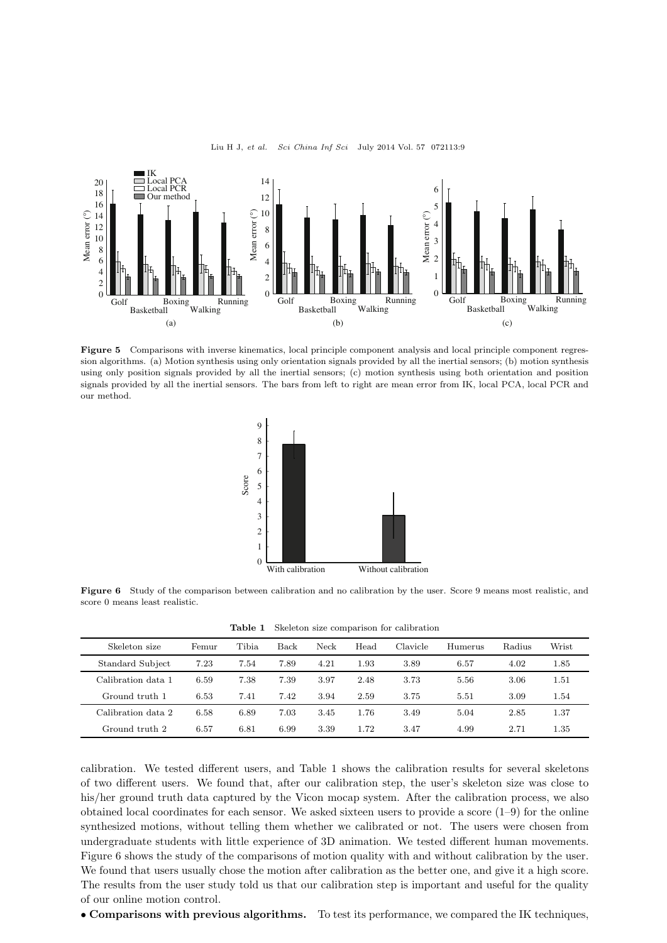

Liu H J, *et al. Sci China Inf Sci* July 2014 Vol. 57 072113:9

**Figure 5** Comparisons with inverse kinematics, local principle component analysis and local principle component regression algorithms. (a) Motion synthesis using only orientation signals provided by all the inertial sensors; (b) motion synthesis using only position signals provided by all the inertial sensors; (c) motion synthesis using both orientation and position signals provided by all the inertial sensors. The bars from left to right are mean error from IK, local PCA, local PCR and our method.



**Figure 6** Study of the comparison between calibration and no calibration by the user. Score 9 means most realistic, and score 0 means least realistic.

**Table 1** Skeleton size comparison for calibration

| Skeleton size      | Femur | <b>Tibia</b> | Back | Neck | Head | Clavicle | Humerus | Radius | Wrist |
|--------------------|-------|--------------|------|------|------|----------|---------|--------|-------|
| Standard Subject   | 7.23  | 7.54         | 7.89 | 4.21 | 1.93 | 3.89     | 6.57    | 4.02   | 1.85  |
| Calibration data 1 | 6.59  | 7.38         | 7.39 | 3.97 | 2.48 | 3.73     | 5.56    | 3.06   | 1.51  |
| Ground truth 1     | 6.53  | 7.41         | 7.42 | 3.94 | 2.59 | 3.75     | 5.51    | 3.09   | 1.54  |
| Calibration data 2 | 6.58  | 6.89         | 7.03 | 3.45 | 1.76 | 3.49     | 5.04    | 2.85   | 1.37  |
| Ground truth 2     | 6.57  | 6.81         | 6.99 | 3.39 | 1.72 | 3.47     | 4.99    | 2.71   | 1.35  |

calibration. We tested different users, and Table 1 shows the calibration results for several skeletons of two different users. We found that, after our calibration step, the user's skeleton size was close to his/her ground truth data captured by the Vicon mocap system. After the calibration process, we also obtained local coordinates for each sensor. We asked sixteen users to provide a score  $(1-9)$  for the online synthesized motions, without telling them whether we calibrated or not. The users were chosen from undergraduate students with little experience of 3D animation. We tested different human movements. Figure 6 shows the study of the comparisons of motion quality with and without calibration by the user. We found that users usually chose the motion after calibration as the better one, and give it a high score. The results from the user study told us that our calibration step is important and useful for the quality of our online motion control.

• **Comparisons with previous algorithms.** To test its performance, we compared the IK techniques,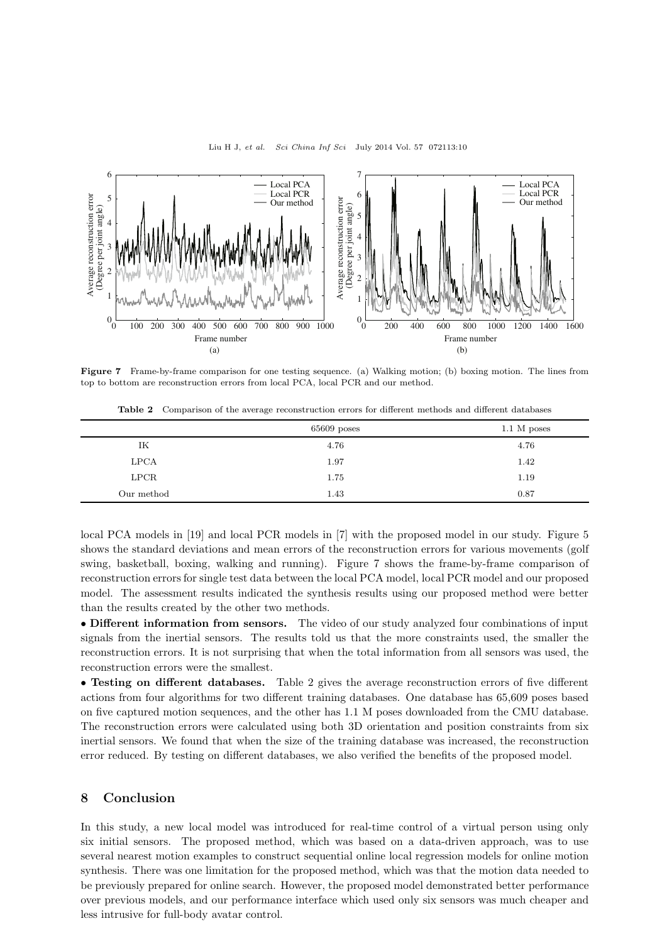

Liu H J, *et al. Sci China Inf Sci* July 2014 Vol. 57 072113:10

**Figure 7** Frame-by-frame comparison for one testing sequence. (a) Walking motion; (b) boxing motion. The lines from top to bottom are reconstruction errors from local PCA, local PCR and our method.

|            | $65609$ poses | $1.1\ \mathrm{M}$ poses |
|------------|---------------|-------------------------|
| IK         | 4.76          | 4.76                    |
| LPCA       | 1.97          | 1.42                    |
| LPCR       | 1.75          | 1.19                    |
| Our method | 1.43          | 0.87                    |

**Table 2** Comparison of the average reconstruction errors for different methods and different databases

local PCA models in [19] and local PCR models in [7] with the proposed model in our study. Figure 5 shows the standard deviations and mean errors of the reconstruction errors for various movements (golf swing, basketball, boxing, walking and running). Figure 7 shows the frame-by-frame comparison of reconstruction errors for single test data between the local PCA model, local PCR model and our proposed model. The assessment results indicated the synthesis results using our proposed method were better than the results created by the other two methods.

• **Different information from sensors.** The video of our study analyzed four combinations of input signals from the inertial sensors. The results told us that the more constraints used, the smaller the reconstruction errors. It is not surprising that when the total information from all sensors was used, the reconstruction errors were the smallest.

• **Testing on different databases.** Table 2 gives the average reconstruction errors of five different actions from four algorithms for two different training databases. One database has 65,609 poses based on five captured motion sequences, and the other has 1.1 M poses downloaded from the CMU database. The reconstruction errors were calculated using both 3D orientation and position constraints from six inertial sensors. We found that when the size of the training database was increased, the reconstruction error reduced. By testing on different databases, we also verified the benefits of the proposed model.

## **8 Conclusion**

In this study, a new local model was introduced for real-time control of a virtual person using only six initial sensors. The proposed method, which was based on a data-driven approach, was to use several nearest motion examples to construct sequential online local regression models for online motion synthesis. There was one limitation for the proposed method, which was that the motion data needed to be previously prepared for online search. However, the proposed model demonstrated better performance over previous models, and our performance interface which used only six sensors was much cheaper and less intrusive for full-body avatar control.